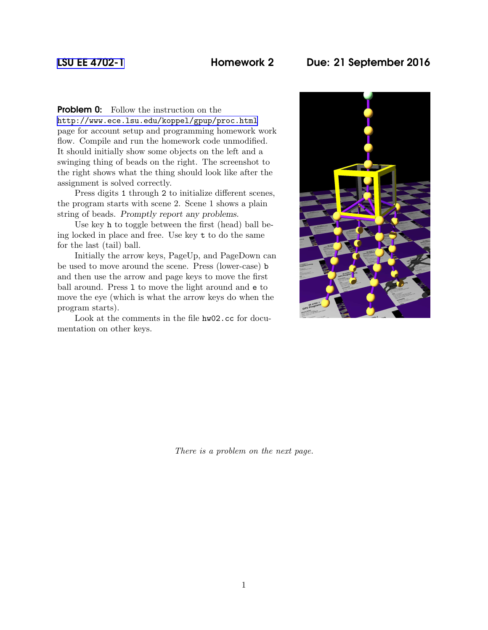## [LSU EE 4702-1](http://www.ece.lsu.edu/koppel/gpup/) Homework 2 Due: 21 September 2016

**Problem 0:** Follow the instruction on the <http://www.ece.lsu.edu/koppel/gpup/proc.html> page for account setup and programming homework work flow. Compile and run the homework code unmodified. It should initially show some objects on the left and a swinging thing of beads on the right. The screenshot to the right shows what the thing should look like after the assignment is solved correctly.

Press digits 1 through 2 to initialize different scenes, the program starts with scene 2. Scene 1 shows a plain string of beads. Promptly report any problems.

Use key h to toggle between the first (head) ball being locked in place and free. Use key t to do the same for the last (tail) ball.

Initially the arrow keys, PageUp, and PageDown can be used to move around the scene. Press (lower-case) b and then use the arrow and page keys to move the first ball around. Press l to move the light around and e to move the eye (which is what the arrow keys do when the program starts).

Look at the comments in the file hw02.cc for documentation on other keys.



There is a problem on the next page.